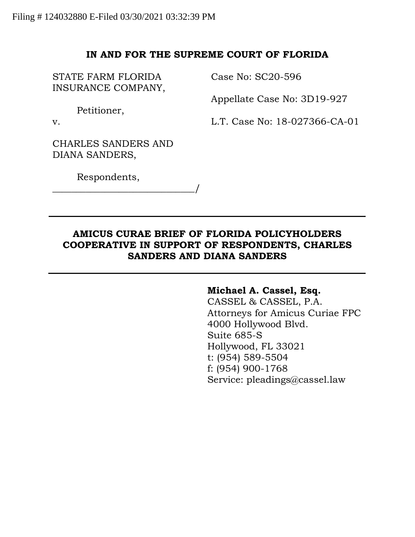## **IN AND FOR THE SUPREME COURT OF FLORIDA**

STATE FARM FLORIDA INSURANCE COMPANY, Case No: SC20-596

Appellate Case No: 3D19-927

Petitioner,

v.

L.T. Case No: 18-027366-CA-01

CHARLES SANDERS AND DIANA SANDERS,

\_\_\_\_\_\_\_\_\_\_\_\_\_\_\_\_\_\_\_\_\_\_\_\_\_\_\_\_\_\_/

Respondents,

# **AMICUS CURAE BRIEF OF FLORIDA POLICYHOLDERS COOPERATIVE IN SUPPORT OF RESPONDENTS, CHARLES SANDERS AND DIANA SANDERS**

### **Michael A. Cassel, Esq.**

CASSEL & CASSEL, P.A. Attorneys for Amicus Curiae FPC 4000 Hollywood Blvd. Suite 685-S Hollywood, FL 33021 t: (954) 589-5504 f: (954) 900-1768 Service: pleadings@cassel.law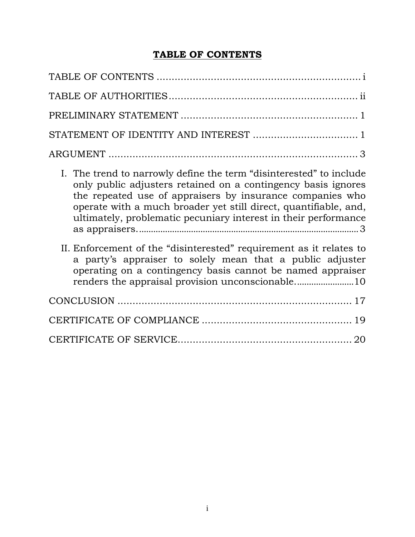# **TABLE OF CONTENTS**

<span id="page-1-0"></span>

| STATEMENT OF IDENTITY AND INTEREST  1                                                                                                                                                                                                                                                                                                    |
|------------------------------------------------------------------------------------------------------------------------------------------------------------------------------------------------------------------------------------------------------------------------------------------------------------------------------------------|
|                                                                                                                                                                                                                                                                                                                                          |
| I. The trend to narrowly define the term "disinterested" to include<br>only public adjusters retained on a contingency basis ignores<br>the repeated use of appraisers by insurance companies who<br>operate with a much broader yet still direct, quantifiable, and,<br>ultimately, problematic pecuniary interest in their performance |
| II. Enforcement of the "disinterested" requirement as it relates to<br>a party's appraiser to solely mean that a public adjuster<br>operating on a contingency basis cannot be named appraiser                                                                                                                                           |
|                                                                                                                                                                                                                                                                                                                                          |
|                                                                                                                                                                                                                                                                                                                                          |
|                                                                                                                                                                                                                                                                                                                                          |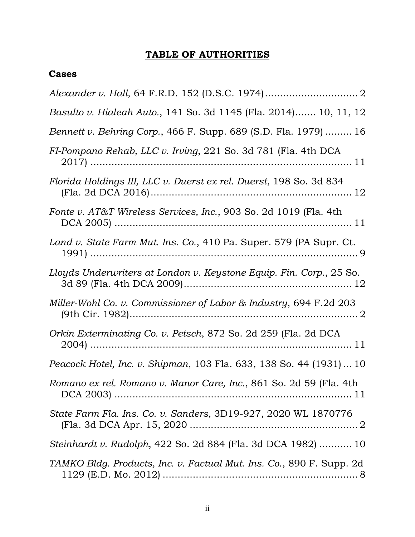# **TABLE OF AUTHORITIES**

# **Cases**

| Basulto v. Hialeah Auto., 141 So. 3d 1145 (Fla. 2014) 10, 11, 12     |
|----------------------------------------------------------------------|
| Bennett v. Behring Corp., 466 F. Supp. 689 (S.D. Fla. 1979)  16      |
| FI-Pompano Rehab, LLC v. Irving, 221 So. 3d 781 (Fla. 4th DCA        |
| Florida Holdings III, LLC v. Duerst ex rel. Duerst, 198 So. 3d 834   |
| Fonte v. AT&T Wireless Services, Inc., 903 So. 2d 1019 (Fla. 4th     |
| Land v. State Farm Mut. Ins. Co., 410 Pa. Super. 579 (PA Supr. Ct.   |
| Lloyds Underwriters at London v. Keystone Equip. Fin. Corp., 25 So.  |
| Miller-Wohl Co. v. Commissioner of Labor & Industry, 694 F.2d 203    |
| Orkin Exterminating Co. v. Petsch, 872 So. 2d 259 (Fla. 2d DCA       |
| Peacock Hotel, Inc. v. Shipman, 103 Fla. 633, 138 So. 44 (1931)  10  |
| Romano ex rel. Romano v. Manor Care, Inc., 861 So. 2d 59 (Fla. 4th   |
| State Farm Fla. Ins. Co. v. Sanders, 3D19-927, 2020 WL 1870776       |
| Steinhardt v. Rudolph, 422 So. 2d 884 (Fla. 3d DCA 1982)  10         |
| TAMKO Bldg. Products, Inc. v. Factual Mut. Ins. Co., 890 F. Supp. 2d |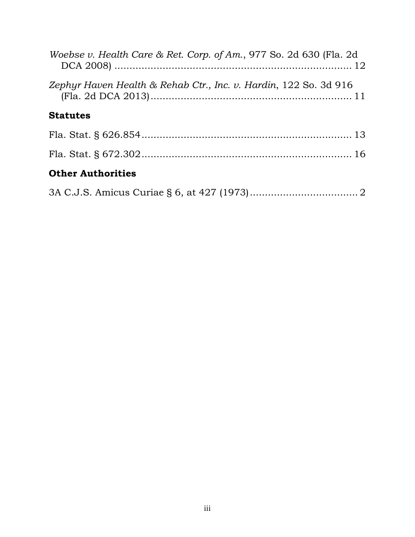| Woebse v. Health Care & Ret. Corp. of Am., 977 So. 2d 630 (Fla. 2d |
|--------------------------------------------------------------------|
| Zephyr Haven Health & Rehab Ctr., Inc. v. Hardin, 122 So. 3d 916   |
| <b>Statutes</b>                                                    |
|                                                                    |
|                                                                    |
| <b>Other Authorities</b>                                           |

|--|--|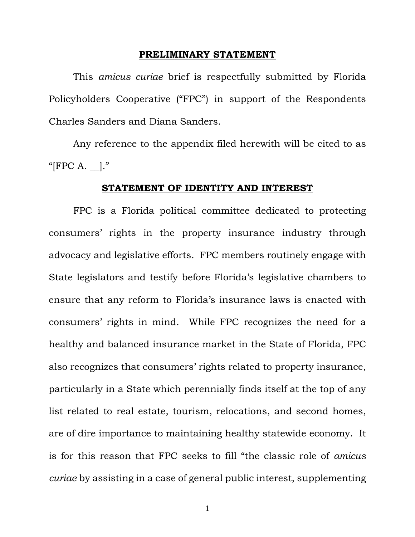#### **PRELIMINARY STATEMENT**

This *amicus curiae* brief is respectfully submitted by Florida Policyholders Cooperative ("FPC") in support of the Respondents Charles Sanders and Diana Sanders.

Any reference to the appendix filed herewith will be cited to as " $[FPC A. \_].$ "

#### **STATEMENT OF IDENTITY AND INTEREST**

FPC is a Florida political committee dedicated to protecting consumers' rights in the property insurance industry through advocacy and legislative efforts. FPC members routinely engage with State legislators and testify before Florida's legislative chambers to ensure that any reform to Florida's insurance laws is enacted with consumers' rights in mind. While FPC recognizes the need for a healthy and balanced insurance market in the State of Florida, FPC also recognizes that consumers' rights related to property insurance, particularly in a State which perennially finds itself at the top of any list related to real estate, tourism, relocations, and second homes, are of dire importance to maintaining healthy statewide economy. It is for this reason that FPC seeks to fill "the classic role of *amicus curiae* by assisting in a case of general public interest, supplementing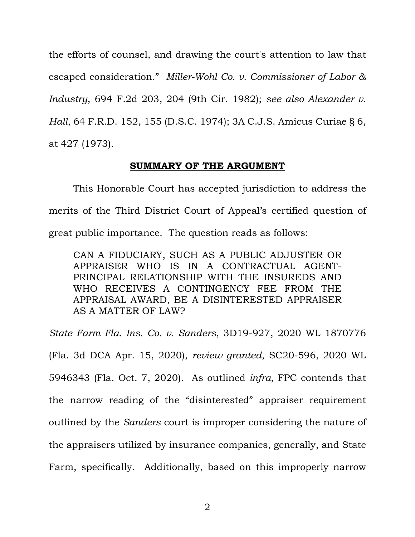the efforts of counsel, and drawing the court's attention to law that escaped consideration." *Miller-Wohl Co. v. Commissioner of Labor & Industry*, 694 F.2d 203, 204 (9th Cir. 1982); *see also Alexander v. Hall*, 64 [F.R.D.](https://casetext.com/case/jesse-c-alexander-et-al-plaintiffs-v-william-s-hall-individually-and-in-his-capacity-as-commissioner-of-mental-health-of-the-state-of-south-carolina-et-al-defenants#p155) 152, 155 (D.S.C. 1974); 3A C.J.S. Amicus Curiae § 6, at 427 (1973).

### **SUMMARY OF THE ARGUMENT**

This Honorable Court has accepted jurisdiction to address the merits of the Third District Court of Appeal's certified question of great public importance. The question reads as follows:

CAN A FIDUCIARY, SUCH AS A PUBLIC ADJUSTER OR APPRAISER WHO IS IN A CONTRACTUAL AGENT-PRINCIPAL RELATIONSHIP WITH THE INSUREDS AND WHO RECEIVES A CONTINGENCY FEE FROM THE APPRAISAL AWARD, BE A DISINTERESTED APPRAISER AS A MATTER OF LAW?

*State Farm Fla. Ins. Co. v. Sanders*, 3D19-927, 2020 WL 1870776 (Fla. 3d DCA Apr. 15, 2020), *review granted*, SC20-596, 2020 WL 5946343 (Fla. Oct. 7, 2020). As outlined *infra*, FPC contends that the narrow reading of the "disinterested" appraiser requirement outlined by the *Sanders* court is improper considering the nature of the appraisers utilized by insurance companies, generally, and State Farm, specifically. Additionally, based on this improperly narrow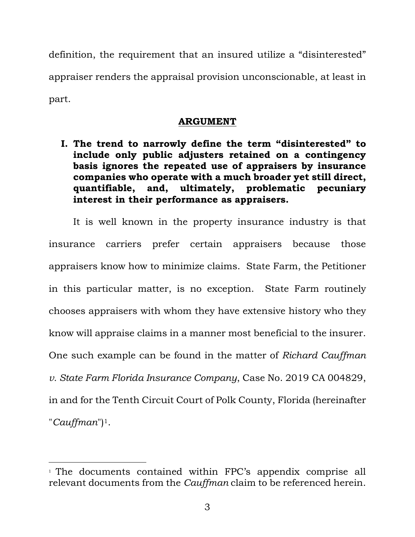definition, the requirement that an insured utilize a "disinterested" appraiser renders the appraisal provision unconscionable, at least in part.

## **ARGUMENT**

**I. The trend to narrowly define the term "disinterested" to include only public adjusters retained on a contingency basis ignores the repeated use of appraisers by insurance companies who operate with a much broader yet still direct, quantifiable, and, ultimately, problematic pecuniary interest in their performance as appraisers.**

It is well known in the property insurance industry is that insurance carriers prefer certain appraisers because those appraisers know how to minimize claims. State Farm, the Petitioner in this particular matter, is no exception. State Farm routinely chooses appraisers with whom they have extensive history who they know will appraise claims in a manner most beneficial to the insurer. One such example can be found in the matter of *Richard Cauffman v. State Farm Florida Insurance Company*, Case No. 2019 CA 004829, in and for the Tenth Circuit Court of Polk County, Florida (hereinafter "*Cauffman*")1.

<sup>1</sup> The documents contained within FPC's appendix comprise all relevant documents from the *Cauffman* claim to be referenced herein.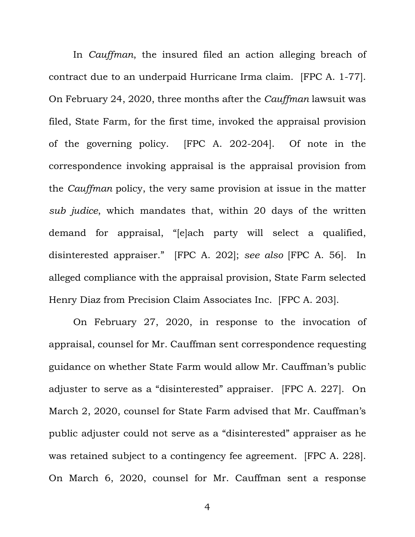In *Cauffman*, the insured filed an action alleging breach of contract due to an underpaid Hurricane Irma claim. [FPC A. 1-77]. On February 24, 2020, three months after the *Cauffman* lawsuit was filed, State Farm, for the first time, invoked the appraisal provision of the governing policy. [FPC A. 202-204]. Of note in the correspondence invoking appraisal is the appraisal provision from the *Cauffman* policy, the very same provision at issue in the matter *sub judice*, which mandates that, within 20 days of the written demand for appraisal, "[e]ach party will select a qualified, disinterested appraiser." [FPC A. 202]; *see also* [FPC A. 56]. In alleged compliance with the appraisal provision, State Farm selected Henry Diaz from Precision Claim Associates Inc. [FPC A. 203].

On February 27, 2020, in response to the invocation of appraisal, counsel for Mr. Cauffman sent correspondence requesting guidance on whether State Farm would allow Mr. Cauffman's public adjuster to serve as a "disinterested" appraiser. [FPC A. 227]. On March 2, 2020, counsel for State Farm advised that Mr. Cauffman's public adjuster could not serve as a "disinterested" appraiser as he was retained subject to a contingency fee agreement. [FPC A. 228]. On March 6, 2020, counsel for Mr. Cauffman sent a response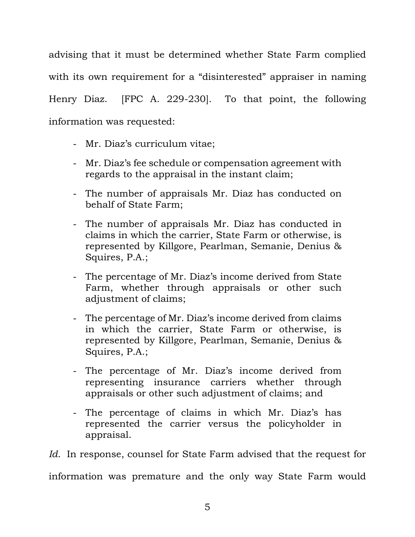advising that it must be determined whether State Farm complied with its own requirement for a "disinterested" appraiser in naming Henry Diaz. [FPC A. 229-230].To that point, the following information was requested:

- Mr. Diaz's curriculum vitae;
- Mr. Diaz's fee schedule or compensation agreement with regards to the appraisal in the instant claim;
- The number of appraisals Mr. Diaz has conducted on behalf of State Farm;
- The number of appraisals Mr. Diaz has conducted in claims in which the carrier, State Farm or otherwise, is represented by Killgore, Pearlman, Semanie, Denius & Squires, P.A.;
- The percentage of Mr. Diaz's income derived from State Farm, whether through appraisals or other such adjustment of claims;
- The percentage of Mr. Diaz's income derived from claims in which the carrier, State Farm or otherwise, is represented by Killgore, Pearlman, Semanie, Denius & Squires, P.A.;
- The percentage of Mr. Diaz's income derived from representing insurance carriers whether through appraisals or other such adjustment of claims; and
- The percentage of claims in which Mr. Diaz's has represented the carrier versus the policyholder in appraisal.

*Id*.In response, counsel for State Farm advised that the request for information was premature and the only way State Farm would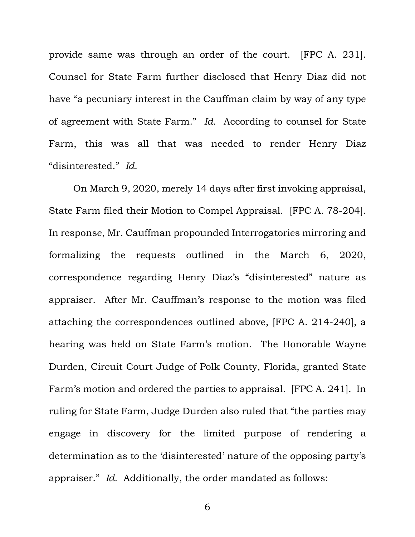provide same was through an order of the court. [FPC A. 231]. Counsel for State Farm further disclosed that Henry Diaz did not have "a pecuniary interest in the Cauffman claim by way of any type of agreement with State Farm." *Id.* According to counsel for State Farm, this was all that was needed to render Henry Diaz "disinterested." *Id.*

On March 9, 2020, merely 14 days after first invoking appraisal, State Farm filed their Motion to Compel Appraisal. [FPC A. 78-204]. In response, Mr. Cauffman propounded Interrogatories mirroring and formalizing the requests outlined in the March 6, 2020, correspondence regarding Henry Diaz's "disinterested" nature as appraiser. After Mr. Cauffman's response to the motion was filed attaching the correspondences outlined above, [FPC A. 214-240], a hearing was held on State Farm's motion. The Honorable Wayne Durden, Circuit Court Judge of Polk County, Florida, granted State Farm's motion and ordered the parties to appraisal. [FPC A. 241]. In ruling for State Farm, Judge Durden also ruled that "the parties may engage in discovery for the limited purpose of rendering a determination as to the 'disinterested' nature of the opposing party's appraiser." *Id.* Additionally, the order mandated as follows: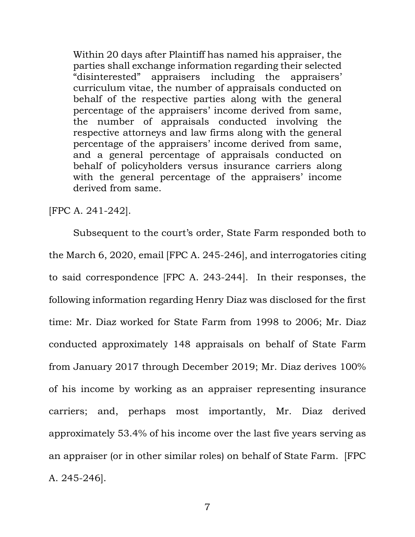Within 20 days after Plaintiff has named his appraiser, the parties shall exchange information regarding their selected "disinterested" appraisers including the appraisers' curriculum vitae, the number of appraisals conducted on behalf of the respective parties along with the general percentage of the appraisers' income derived from same, the number of appraisals conducted involving the respective attorneys and law firms along with the general percentage of the appraisers' income derived from same, and a general percentage of appraisals conducted on behalf of policyholders versus insurance carriers along with the general percentage of the appraisers' income derived from same.

[FPC A. 241-242].

Subsequent to the court's order, State Farm responded both to the March 6, 2020, email [FPC A. 245-246], and interrogatories citing to said correspondence [FPC A. 243-244]. In their responses, the following information regarding Henry Diaz was disclosed for the first time: Mr. Diaz worked for State Farm from 1998 to 2006; Mr. Diaz conducted approximately 148 appraisals on behalf of State Farm from January 2017 through December 2019; Mr. Diaz derives 100% of his income by working as an appraiser representing insurance carriers; and, perhaps most importantly, Mr. Diaz derived approximately 53.4% of his income over the last five years serving as an appraiser (or in other similar roles) on behalf of State Farm. [FPC A. 245-246].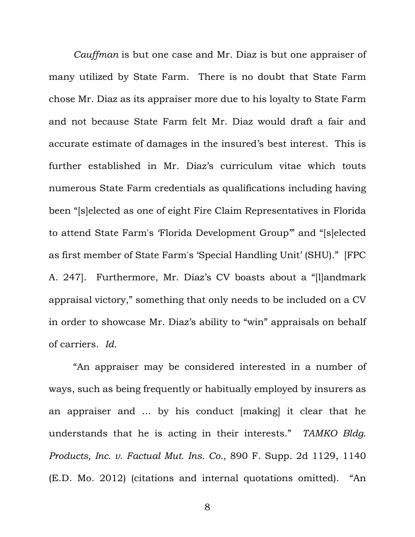*Cauffman* is but one case and Mr. Diaz is but one appraiser of many utilized by State Farm. There is no doubt that State Farm chose Mr. Diaz as its appraiser more due to his loyalty to State Farm and not because State Farm felt Mr. Diaz would draft a fair and accurate estimate of damages in the insured's best interest. This is further established in Mr. Diaz's curriculum vitae which touts numerous State Farm credentials as qualifications including having been "[s]elected as one of eight Fire Claim Representatives in Florida to attend State Farm's 'Florida Development Group'" and "[s]elected as first member of State Farm's 'Special Handling Unit' (SHU)." [FPC A. 247]. Furthermore, Mr. Diaz's CV boasts about a "[l]andmark appraisal victory," something that only needs to be included on a CV in order to showcase Mr. Diaz's ability to "win" appraisals on behalf of carriers. *Id.*

"An appraiser may be considered interested in a number of ways, such as being frequently or habitually employed by insurers as an appraiser and ... by his conduct [making] it clear that he understands that he is acting in their interests." *TAMKO Bldg. Products, Inc. v. Factual Mut. Ins. Co.*, 890 F. Supp. 2d 1129, 1140 (E.D. Mo. 2012) (citations and internal quotations omitted). "An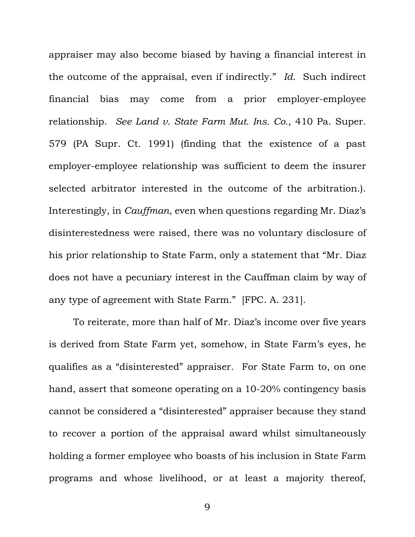appraiser may also become biased by having a financial interest in the outcome of the appraisal, even if indirectly." *Id.* Such indirect financial bias may come from a prior employer-employee relationship. *See Land v. State Farm Mut. Ins. Co.*, 410 Pa. Super. 579 (PA Supr. Ct. 1991) (finding that the existence of a past employer-employee relationship was sufficient to deem the insurer selected arbitrator interested in the outcome of the arbitration.). Interestingly, in *Cauffman*, even when questions regarding Mr. Diaz's disinterestedness were raised, there was no voluntary disclosure of his prior relationship to State Farm, only a statement that "Mr. Diaz does not have a pecuniary interest in the Cauffman claim by way of any type of agreement with State Farm." [FPC. A. 231].

To reiterate, more than half of Mr. Diaz's income over five years is derived from State Farm yet, somehow, in State Farm's eyes, he qualifies as a "disinterested" appraiser. For State Farm to, on one hand, assert that someone operating on a 10-20% contingency basis cannot be considered a "disinterested" appraiser because they stand to recover a portion of the appraisal award whilst simultaneously holding a former employee who boasts of his inclusion in State Farm programs and whose livelihood, or at least a majority thereof,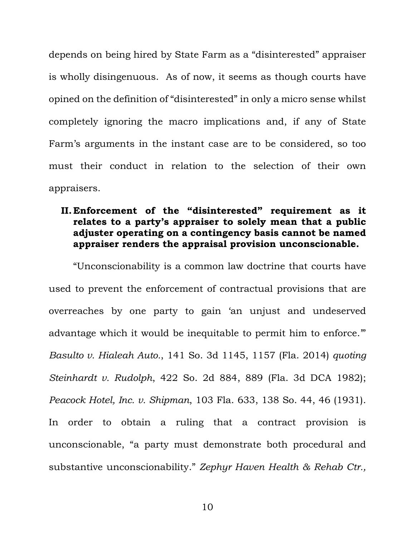depends on being hired by State Farm as a "disinterested" appraiser is wholly disingenuous. As of now, it seems as though courts have opined on the definition of "disinterested" in only a micro sense whilst completely ignoring the macro implications and, if any of State Farm's arguments in the instant case are to be considered, so too must their conduct in relation to the selection of their own appraisers.

# **II.Enforcement of the "disinterested" requirement as it relates to a party's appraiser to solely mean that a public adjuster operating on a contingency basis cannot be named appraiser renders the appraisal provision unconscionable.**

"Unconscionability is a common law doctrine that courts have used to prevent the enforcement of contractual provisions that are overreaches by one party to gain 'an unjust and undeserved advantage which it would be inequitable to permit him to enforce.'" *Basulto v. Hialeah Auto.*, 141 So. 3d 1145, 1157 (Fla. 2014) *quoting Steinhardt v. Rudolph*, 422 So. 2d 884, 889 (Fla. 3d DCA 1982); *Peacock Hotel, Inc. v. Shipman*, 103 Fla. 633, 138 So. 44, 46 (1931). In order to obtain a ruling that a contract provision is unconscionable, "a party must demonstrate both procedural and substantive unconscionability." *Zephyr Haven Health & Rehab Ctr.,*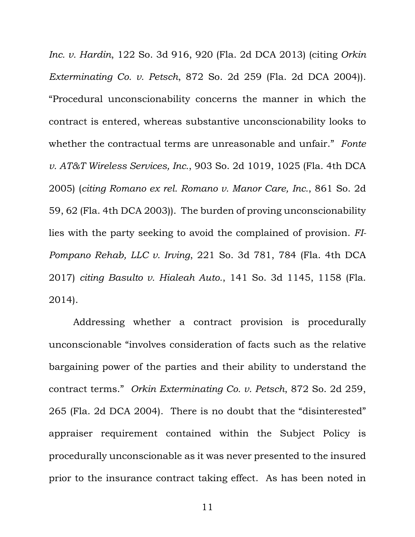*Inc. v. Hardin*, 122 So. 3d 916, 920 (Fla. 2d DCA 2013) (citing *Orkin Exterminating Co. v. Petsch*, 872 So. 2d 259 (Fla. 2d DCA 2004)). "Procedural unconscionability concerns the manner in which the contract is entered, whereas substantive unconscionability looks to whether the contractual terms are unreasonable and unfair." *Fonte v. AT&T Wireless Services, Inc.*, 903 So. 2d 1019, 1025 (Fla. 4th DCA 2005) (*citing Romano ex rel. Romano v. Manor Care, Inc.*, 861 So. 2d 59, 62 (Fla. 4th DCA 2003)). The burden of proving unconscionability lies with the party seeking to avoid the complained of provision. *FI-Pompano Rehab, LLC v. Irving*, 221 So. 3d 781, 784 (Fla. 4th DCA 2017) *citing Basulto v. Hialeah Auto.*, 141 So. 3d 1145, 1158 (Fla. 2014).

Addressing whether a contract provision is procedurally unconscionable "involves consideration of facts such as the relative bargaining power of the parties and their ability to understand the contract terms." *Orkin Exterminating Co. v. Petsch*, 872 So. 2d 259, 265 (Fla. 2d DCA 2004). There is no doubt that the "disinterested" appraiser requirement contained within the Subject Policy is procedurally unconscionable as it was never presented to the insured prior to the insurance contract taking effect. As has been noted in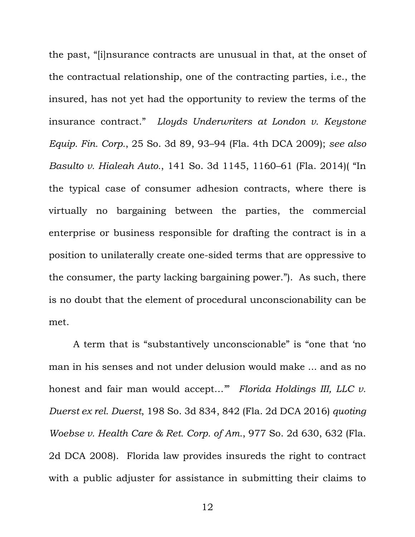the past, "[i]nsurance contracts are unusual in that, at the onset of the contractual relationship, one of the contracting parties, i.e., the insured, has not yet had the opportunity to review the terms of the insurance contract." *Lloyds Underwriters at London v. Keystone Equip. Fin. Corp.*, 25 So. 3d 89, 93–94 (Fla. 4th DCA 2009); *see also Basulto v. Hialeah Auto.*, 141 So. 3d 1145, 1160–61 (Fla. 2014)( "In the typical case of consumer adhesion contracts, where there is virtually no bargaining between the parties, the commercial enterprise or business responsible for drafting the contract is in a position to unilaterally create one-sided terms that are oppressive to the consumer, the party lacking bargaining power."). As such, there is no doubt that the element of procedural unconscionability can be met.

A term that is "substantively unconscionable" is "one that 'no man in his senses and not under delusion would make ... and as no honest and fair man would accept…'" *Florida Holdings III, LLC v. Duerst ex rel. Duerst*, 198 So. 3d 834, 842 (Fla. 2d DCA 2016) *quoting Woebse v. Health Care & Ret. Corp. of Am.*, 977 So. 2d 630, 632 (Fla. 2d DCA 2008). Florida law provides insureds the right to contract with a public adjuster for assistance in submitting their claims to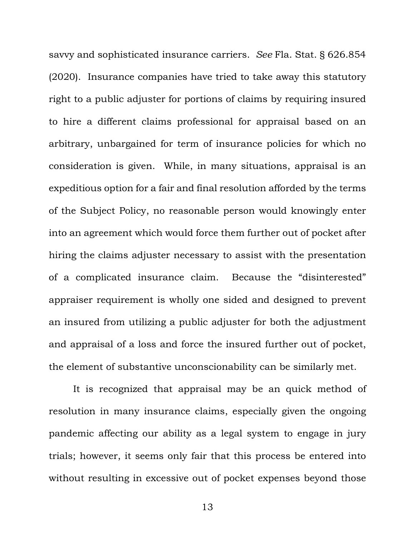savvy and sophisticated insurance carriers. *See* Fla. Stat. § 626.854 (2020). Insurance companies have tried to take away this statutory right to a public adjuster for portions of claims by requiring insured to hire a different claims professional for appraisal based on an arbitrary, unbargained for term of insurance policies for which no consideration is given. While, in many situations, appraisal is an expeditious option for a fair and final resolution afforded by the terms of the Subject Policy, no reasonable person would knowingly enter into an agreement which would force them further out of pocket after hiring the claims adjuster necessary to assist with the presentation of a complicated insurance claim. Because the "disinterested" appraiser requirement is wholly one sided and designed to prevent an insured from utilizing a public adjuster for both the adjustment and appraisal of a loss and force the insured further out of pocket, the element of substantive unconscionability can be similarly met.

It is recognized that appraisal may be an quick method of resolution in many insurance claims, especially given the ongoing pandemic affecting our ability as a legal system to engage in jury trials; however, it seems only fair that this process be entered into without resulting in excessive out of pocket expenses beyond those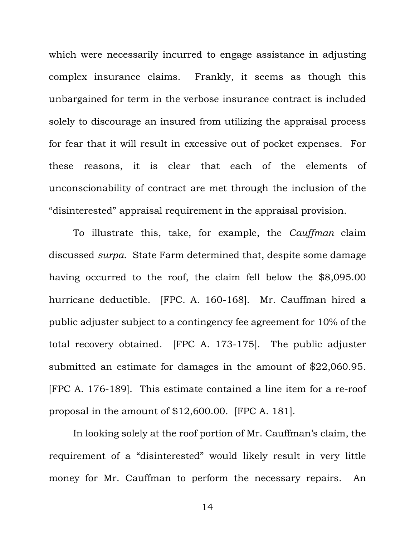which were necessarily incurred to engage assistance in adjusting complex insurance claims. Frankly, it seems as though this unbargained for term in the verbose insurance contract is included solely to discourage an insured from utilizing the appraisal process for fear that it will result in excessive out of pocket expenses. For these reasons, it is clear that each of the elements of unconscionability of contract are met through the inclusion of the "disinterested" appraisal requirement in the appraisal provision.

To illustrate this, take, for example, the *Cauffman* claim discussed *surpa*. State Farm determined that, despite some damage having occurred to the roof, the claim fell below the \$8,095.00 hurricane deductible. [FPC. A. 160-168]. Mr. Cauffman hired a public adjuster subject to a contingency fee agreement for 10% of the total recovery obtained. [FPC A. 173-175]. The public adjuster submitted an estimate for damages in the amount of \$22,060.95. [FPC A. 176-189]. This estimate contained a line item for a re-roof proposal in the amount of \$12,600.00. [FPC A. 181].

In looking solely at the roof portion of Mr. Cauffman's claim, the requirement of a "disinterested" would likely result in very little money for Mr. Cauffman to perform the necessary repairs. An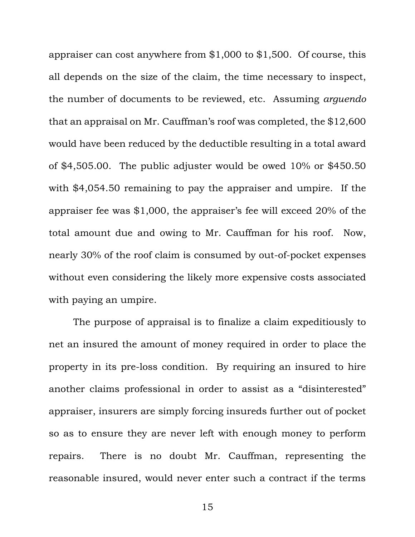appraiser can cost anywhere from \$1,000 to \$1,500. Of course, this all depends on the size of the claim, the time necessary to inspect, the number of documents to be reviewed, etc. Assuming *arguendo* that an appraisal on Mr. Cauffman's roof was completed, the \$12,600 would have been reduced by the deductible resulting in a total award of \$4,505.00. The public adjuster would be owed 10% or \$450.50 with \$4,054.50 remaining to pay the appraiser and umpire. If the appraiser fee was \$1,000, the appraiser's fee will exceed 20% of the total amount due and owing to Mr. Cauffman for his roof. Now, nearly 30% of the roof claim is consumed by out-of-pocket expenses without even considering the likely more expensive costs associated with paying an umpire.

The purpose of appraisal is to finalize a claim expeditiously to net an insured the amount of money required in order to place the property in its pre-loss condition. By requiring an insured to hire another claims professional in order to assist as a "disinterested" appraiser, insurers are simply forcing insureds further out of pocket so as to ensure they are never left with enough money to perform repairs. There is no doubt Mr. Cauffman, representing the reasonable insured, would never enter such a contract if the terms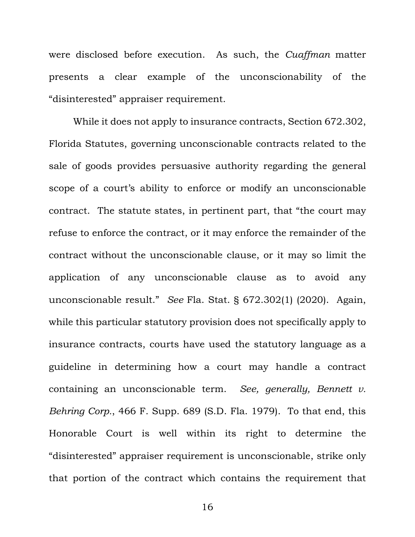were disclosed before execution. As such, the *Cuaffman* matter presents a clear example of the unconscionability of the "disinterested" appraiser requirement.

While it does not apply to insurance contracts, Section 672.302, Florida Statutes, governing unconscionable contracts related to the sale of goods provides persuasive authority regarding the general scope of a court's ability to enforce or modify an unconscionable contract. The statute states, in pertinent part, that "the court may refuse to enforce the contract, or it may enforce the remainder of the contract without the unconscionable clause, or it may so limit the application of any unconscionable clause as to avoid any unconscionable result." *See* Fla. Stat. § 672.302(1) (2020). Again, while this particular statutory provision does not specifically apply to insurance contracts, courts have used the statutory language as a guideline in determining how a court may handle a contract containing an unconscionable term. *See, generally, Bennett v. Behring Corp.*, 466 F. Supp. 689 (S.D. Fla. 1979). To that end, this Honorable Court is well within its right to determine the "disinterested" appraiser requirement is unconscionable, strike only that portion of the contract which contains the requirement that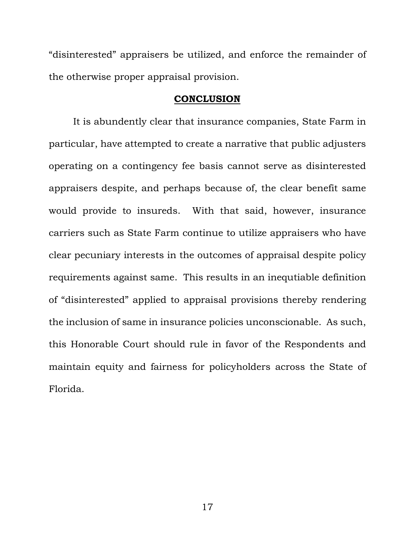"disinterested" appraisers be utilized, and enforce the remainder of the otherwise proper appraisal provision.

### **CONCLUSION**

It is abundently clear that insurance companies, State Farm in particular, have attempted to create a narrative that public adjusters operating on a contingency fee basis cannot serve as disinterested appraisers despite, and perhaps because of, the clear benefit same would provide to insureds. With that said, however, insurance carriers such as State Farm continue to utilize appraisers who have clear pecuniary interests in the outcomes of appraisal despite policy requirements against same. This results in an inequtiable definition of "disinterested" applied to appraisal provisions thereby rendering the inclusion of same in insurance policies unconscionable. As such, this Honorable Court should rule in favor of the Respondents and maintain equity and fairness for policyholders across the State of Florida.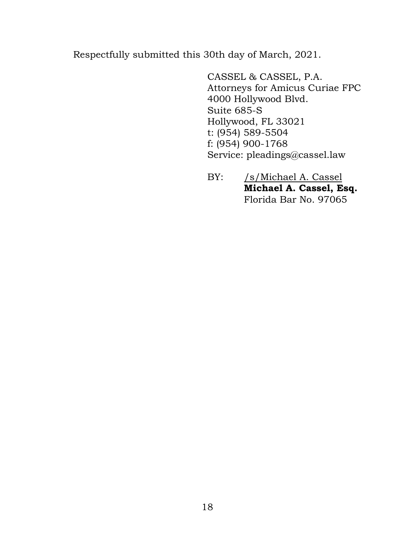Respectfully submitted this 30th day of March, 2021.

CASSEL & CASSEL, P.A. Attorneys for Amicus Curiae FPC 4000 Hollywood Blvd. Suite 685-S Hollywood, FL 33021 t: (954) 589-5504 f: (954) 900-1768 Service: pleadings@cassel.law

BY: /s/Michael A. Cassel **Michael A. Cassel, Esq.** Florida Bar No. 97065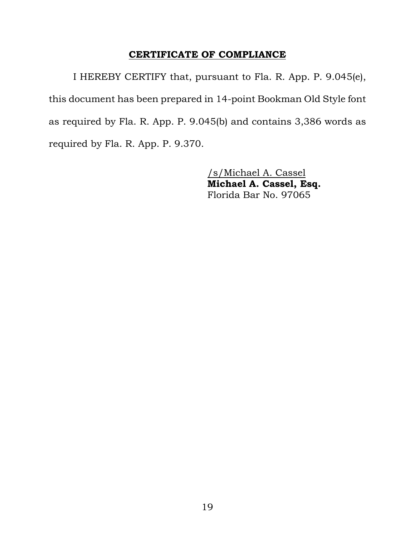## **CERTIFICATE OF COMPLIANCE**

I HEREBY CERTIFY that, pursuant to Fla. R. App. P. 9.045(e), this document has been prepared in 14-point Bookman Old Style font as required by Fla. R. App. P. 9.045(b) and contains 3,386 words as required by Fla. R. App. P. 9.370.

> /s/Michael A. Cassel **Michael A. Cassel, Esq.** Florida Bar No. 97065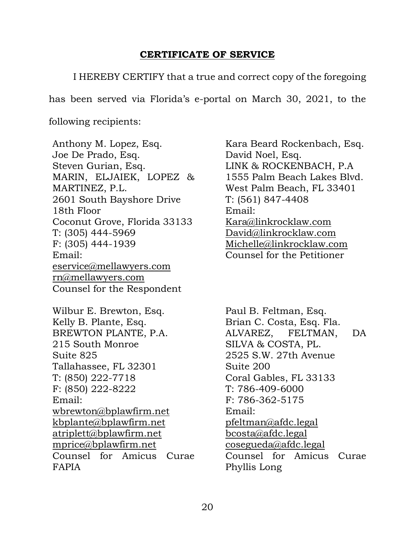# **CERTIFICATE OF SERVICE**

I HEREBY CERTIFY that a true and correct copy of the foregoing

has been served via Florida's e-portal on March 30, 2021, to the

following recipients:

Anthony M. Lopez, Esq. Joe De Prado, Esq. Steven Gurian, Esq. MARIN, ELJAIEK, LOPEZ & MARTINEZ, P.L. 2601 South Bayshore Drive 18th Floor Coconut Grove, Florida 33133 T: (305) 444-5969 F: (305) 444-1939 Email: [eservice@mellawyers.com](mailto:eservice@mellawyers.com) [rn@mellawyers.com](mailto:rn@mellawyers.com) Counsel for the Respondent

Wilbur E. Brewton, Esq. Kelly B. Plante, Esq. BREWTON PLANTE, P.A. 215 South Monroe Suite 825 Tallahassee, FL 32301 T: (850) 222-7718 F: (850) 222-8222 Email: [wbrewton@bplawfirm.net](mailto:wbrewton@bplawfirm.net) [kbplante@bplawfirm.net](mailto:kbplante@bplawfirm.net) [atriplett@bplawfirm.net](mailto:atriplett@bplawfirm.net) [mprice@bplawfirm.net](mailto:mprice@bplawfirm.net) Counsel for Amicus Curae FAPIA

Kara Beard Rockenbach, Esq. David Noel, Esq. LINK & ROCKENBACH, P.A 1555 Palm Beach Lakes Blvd. West Palm Beach, FL 33401 T: (561) 847-4408 Email: [Kara@linkrocklaw.com](mailto:Kara@linkrocklaw.com) [David@linkrocklaw.com](mailto:David@linkrocklaw.com) [Michelle@linkrocklaw.com](mailto:Michelle@linkrocklaw.com) Counsel for the Petitioner

Paul B. Feltman, Esq. Brian C. Costa, Esq. Fla. ALVAREZ, FELTMAN, DA SILVA & COSTA, PL. 2525 S.W. 27th Avenue Suite 200 Coral Gables, FL 33133 T: 786-409-6000 F: 786-362-5175 Email: [pfeltman@afdc.legal](mailto:pfeltman@afdc.legal) [bcosta@afdc.legal](mailto:bcosta@afdc.legal) [cosegueda@afdc.legal](mailto:cosegueda@afdc.legal) Counsel for Amicus Curae Phyllis Long